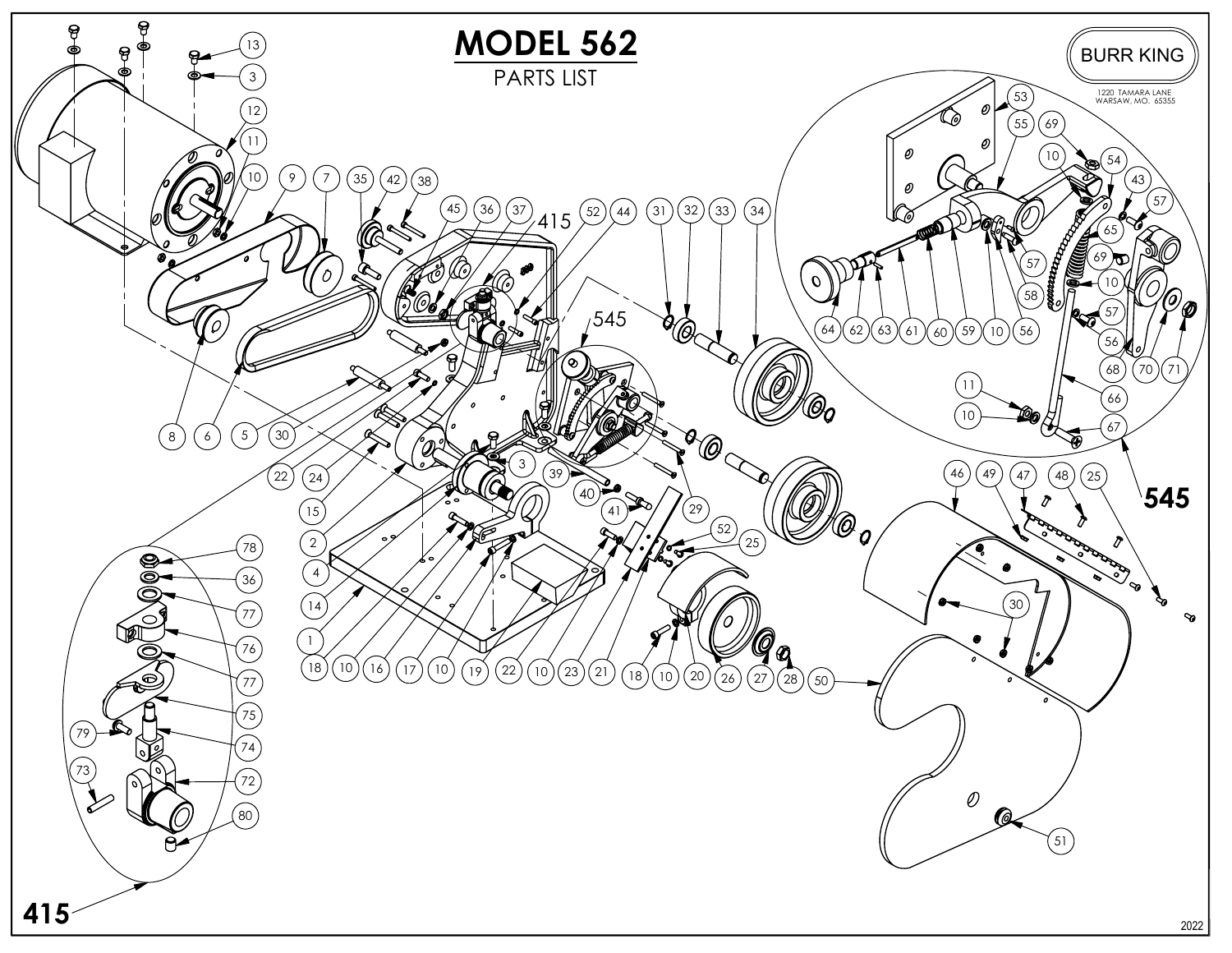